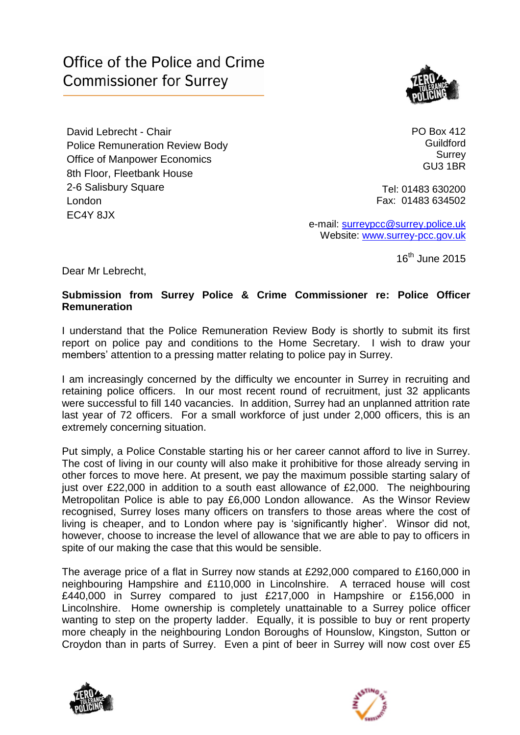## Office of the Police and Crime **Commissioner for Surrey**



David Lebrecht - Chair Police Remuneration Review Body Office of Manpower Economics 8th Floor, Fleetbank House 2-6 Salisbury Square London EC4Y 8JX

PO Box 412 **Guildford Surrey** GU3 1BR

Tel: 01483 630200 Fax: 01483 634502

e-mail: [surreypcc@surrey.police.uk](mailto:surreypcc@surrey.police.uk) Website: www.surrey-pcc.gov.uk

16<sup>th</sup> June 2015

Dear Mr Lebrecht,

## **Submission from Surrey Police & Crime Commissioner re: Police Officer Remuneration**

I understand that the Police Remuneration Review Body is shortly to submit its first report on police pay and conditions to the Home Secretary. I wish to draw your members' attention to a pressing matter relating to police pay in Surrey.

I am increasingly concerned by the difficulty we encounter in Surrey in recruiting and retaining police officers. In our most recent round of recruitment, just 32 applicants were successful to fill 140 vacancies. In addition, Surrey had an unplanned attrition rate last year of 72 officers. For a small workforce of just under 2,000 officers, this is an extremely concerning situation.

Put simply, a Police Constable starting his or her career cannot afford to live in Surrey. The cost of living in our county will also make it prohibitive for those already serving in other forces to move here. At present, we pay the maximum possible starting salary of just over £22,000 in addition to a south east allowance of £2,000. The neighbouring Metropolitan Police is able to pay £6,000 London allowance. As the Winsor Review recognised, Surrey loses many officers on transfers to those areas where the cost of living is cheaper, and to London where pay is 'significantly higher'. Winsor did not, however, choose to increase the level of allowance that we are able to pay to officers in spite of our making the case that this would be sensible.

The average price of a flat in Surrey now stands at £292,000 compared to £160,000 in neighbouring Hampshire and £110,000 in Lincolnshire. A terraced house will cost £440,000 in Surrey compared to just £217,000 in Hampshire or £156,000 in Lincolnshire. Home ownership is completely unattainable to a Surrey police officer wanting to step on the property ladder. Equally, it is possible to buy or rent property more cheaply in the neighbouring London Boroughs of Hounslow, Kingston, Sutton or Croydon than in parts of Surrey. Even a pint of beer in Surrey will now cost over £5